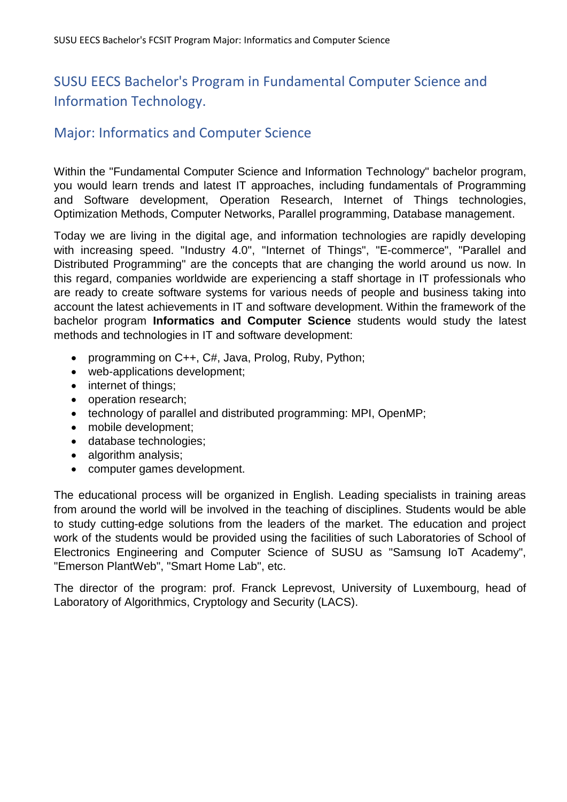## SUSU EECS Bachelor's Program in Fundamental Computer Science and Information Technology.

### Major: Informatics and Computer Science

Within the "Fundamental Computer Science and Information Technology" bachelor program, you would learn trends and latest IT approaches, including fundamentals of Programming and Software development, Operation Research, Internet of Things technologies, Optimization Methods, Computer Networks, Parallel programming, Database management.

Today we are living in the digital age, and information technologies are rapidly developing with increasing speed. "Industry 4.0", "Internet of Things", "E-commerce", "Parallel and Distributed Programming" are the concepts that are changing the world around us now. In this regard, companies worldwide are experiencing a staff shortage in IT professionals who are ready to create software systems for various needs of people and business taking into account the latest achievements in IT and software development. Within the framework of the bachelor program **Informatics and Computer Science** students would study the latest methods and technologies in IT and software development:

- programming on C++, C#, Java, Prolog, Ruby, Python;
- web-applications development;
- internet of things;
- operation research;
- technology of parallel and distributed programming: MPI, OpenMP;
- mobile development;
- database technologies;
- algorithm analysis;
- computer games development.

The educational process will be organized in English. Leading specialists in training areas from around the world will be involved in the teaching of disciplines. Students would be able to study cutting-edge solutions from the leaders of the market. The education and project work of the students would be provided using the facilities of such Laboratories of School of Electronics Engineering and Computer Science of SUSU as "Samsung IoT Academy", "Emerson PlantWeb", "Smart Home Lab", etc.

The director of the program: prof. Franck Leprevost, University of Luxembourg, head of Laboratory of Algorithmics, Cryptology and Security (LACS).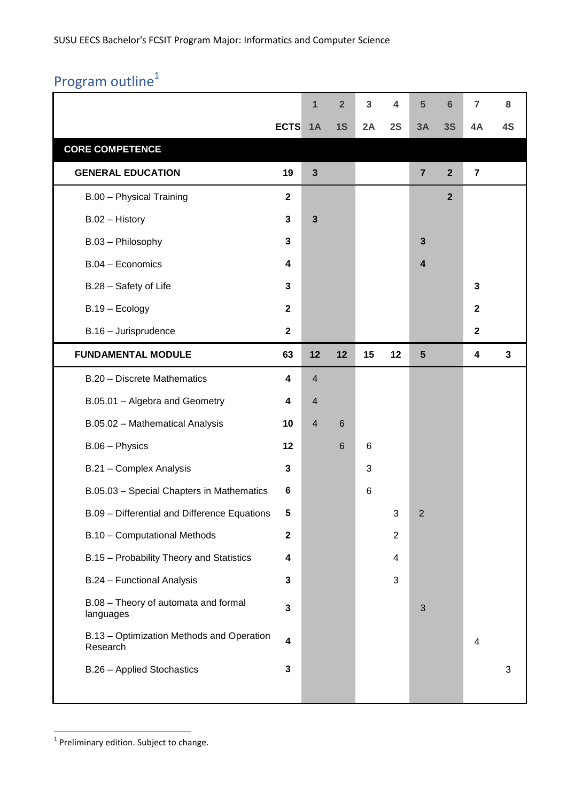# Program outline<sup>1</sup>

|                                                       |              | 1              | $\overline{2}$  | 3               | 4              | 5                       | 6              | 7                       | 8           |
|-------------------------------------------------------|--------------|----------------|-----------------|-----------------|----------------|-------------------------|----------------|-------------------------|-------------|
|                                                       | <b>ECTS</b>  | 1A             | 1S              | 2A              | 2S             | 3A                      | 3S             | 4A                      | 4S          |
| <b>CORE COMPETENCE</b>                                |              |                |                 |                 |                |                         |                |                         |             |
| <b>GENERAL EDUCATION</b>                              | 19           | $\mathbf{3}$   |                 |                 |                | $\overline{7}$          | $\overline{2}$ | $\overline{\mathbf{7}}$ |             |
| B.00 - Physical Training                              | $\mathbf{2}$ |                |                 |                 |                |                         | $\overline{2}$ |                         |             |
| B.02 - History                                        | $\mathbf{3}$ | $\mathbf{3}$   |                 |                 |                |                         |                |                         |             |
| B.03 - Philosophy                                     | $\mathbf{3}$ |                |                 |                 |                | $\mathbf{3}$            |                |                         |             |
| B.04 - Economics                                      | 4            |                |                 |                 |                | $\overline{\mathbf{4}}$ |                |                         |             |
| B.28 - Safety of Life                                 | 3            |                |                 |                 |                |                         |                | 3                       |             |
| B.19 - Ecology                                        | $\mathbf{2}$ |                |                 |                 |                |                         |                | $\mathbf{2}$            |             |
| B.16 - Jurisprudence                                  | $\mathbf{2}$ |                |                 |                 |                |                         |                | $\mathbf 2$             |             |
| <b>FUNDAMENTAL MODULE</b>                             | 63           | 12             | 12              | 15              | 12             | 5                       |                | 4                       | $\mathbf 3$ |
| B.20 - Discrete Mathematics                           | 4            | $\overline{4}$ |                 |                 |                |                         |                |                         |             |
| B.05.01 - Algebra and Geometry                        | 4            | $\overline{4}$ |                 |                 |                |                         |                |                         |             |
| B.05.02 - Mathematical Analysis                       | 10           | $\overline{4}$ | $\,$ 6          |                 |                |                         |                |                         |             |
| B.06 - Physics                                        | 12           |                | $6\phantom{1}6$ | $6\phantom{1}6$ |                |                         |                |                         |             |
| B.21 - Complex Analysis                               | $\mathbf{3}$ |                |                 | 3               |                |                         |                |                         |             |
| B.05.03 - Special Chapters in Mathematics             | 6            |                |                 | 6               |                |                         |                |                         |             |
| B.09 - Differential and Difference Equations          | 5            |                |                 |                 | 3              | $\overline{2}$          |                |                         |             |
| B.10 - Computational Methods                          | $\mathbf{2}$ |                |                 |                 | $\overline{2}$ |                         |                |                         |             |
| B.15 - Probability Theory and Statistics              | 4            |                |                 |                 | 4              |                         |                |                         |             |
| B.24 - Functional Analysis                            | 3            |                |                 |                 | 3              |                         |                |                         |             |
| B.08 - Theory of automata and formal<br>languages     | $\mathbf{3}$ |                |                 |                 |                | 3                       |                |                         |             |
| B.13 - Optimization Methods and Operation<br>Research | 4            |                |                 |                 |                |                         |                | 4                       |             |
| B.26 - Applied Stochastics                            | $\mathbf{3}$ |                |                 |                 |                |                         |                |                         | 3           |

 1 Preliminary edition. Subject to change.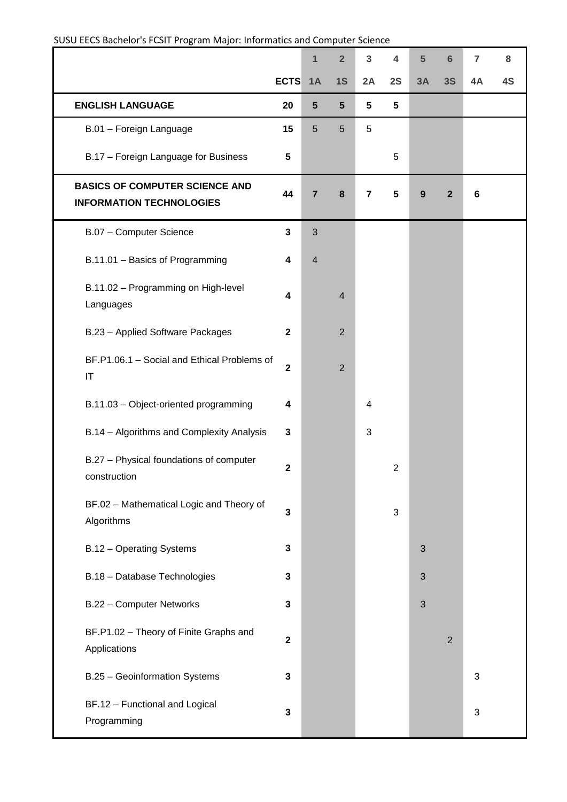#### SUSU EECS Bachelor's FCSIT Program Major: Informatics and Computer Science

|                                                                          |                         | 1              | $\overline{2}$ | $\overline{3}$          | 4              | $5\phantom{1}$   | $6\phantom{1}6$ | $\overline{7}$ | 8  |
|--------------------------------------------------------------------------|-------------------------|----------------|----------------|-------------------------|----------------|------------------|-----------------|----------------|----|
|                                                                          | <b>ECTS</b>             | 1A             | 1S             | 2A                      | 2S             | 3A               | <b>3S</b>       | 4A             | 4S |
| <b>ENGLISH LANGUAGE</b>                                                  | 20                      | $5\phantom{1}$ | $5\phantom{1}$ | 5                       | 5              |                  |                 |                |    |
| B.01 - Foreign Language                                                  | 15                      | 5              | $5\phantom{.}$ | 5                       |                |                  |                 |                |    |
| B.17 - Foreign Language for Business                                     | $5\phantom{1}$          |                |                |                         | 5              |                  |                 |                |    |
| <b>BASICS OF COMPUTER SCIENCE AND</b><br><b>INFORMATION TECHNOLOGIES</b> | 44                      | $\overline{7}$ | $\pmb{8}$      | $\overline{\mathbf{r}}$ | 5              | $\boldsymbol{9}$ | $\mathbf{2}$    | 6              |    |
| B.07 - Computer Science                                                  | $\mathbf{3}$            | $\mathbf{3}$   |                |                         |                |                  |                 |                |    |
| B.11.01 - Basics of Programming                                          | 4                       | $\overline{4}$ |                |                         |                |                  |                 |                |    |
| B.11.02 - Programming on High-level<br>Languages                         | 4                       |                | 4              |                         |                |                  |                 |                |    |
| B.23 - Applied Software Packages                                         | $\mathbf{2}$            |                | $\overline{2}$ |                         |                |                  |                 |                |    |
| BF.P1.06.1 - Social and Ethical Problems of<br>$\mathsf{I}\mathsf{T}$    | $\overline{\mathbf{2}}$ |                | $\overline{2}$ |                         |                |                  |                 |                |    |
| B.11.03 - Object-oriented programming                                    | 4                       |                |                | $\overline{\mathbf{4}}$ |                |                  |                 |                |    |
| B.14 - Algorithms and Complexity Analysis                                | 3                       |                |                | 3                       |                |                  |                 |                |    |
| B.27 - Physical foundations of computer<br>construction                  | $\mathbf 2$             |                |                |                         | $\overline{2}$ |                  |                 |                |    |
| BF.02 - Mathematical Logic and Theory of<br>Algorithms                   | $\overline{\mathbf{3}}$ |                |                |                         | 3              |                  |                 |                |    |
| B.12 - Operating Systems                                                 | 3                       |                |                |                         |                | 3                |                 |                |    |
| B.18 - Database Technologies                                             | 3                       |                |                |                         |                | 3                |                 |                |    |
| B.22 - Computer Networks                                                 | 3                       |                |                |                         |                | 3                |                 |                |    |
| BF.P1.02 - Theory of Finite Graphs and<br>Applications                   | $\overline{\mathbf{2}}$ |                |                |                         |                |                  | $\overline{2}$  |                |    |
| B.25 - Geoinformation Systems                                            | 3                       |                |                |                         |                |                  |                 | 3              |    |
| BF.12 - Functional and Logical<br>Programming                            | 3                       |                |                |                         |                |                  |                 | 3              |    |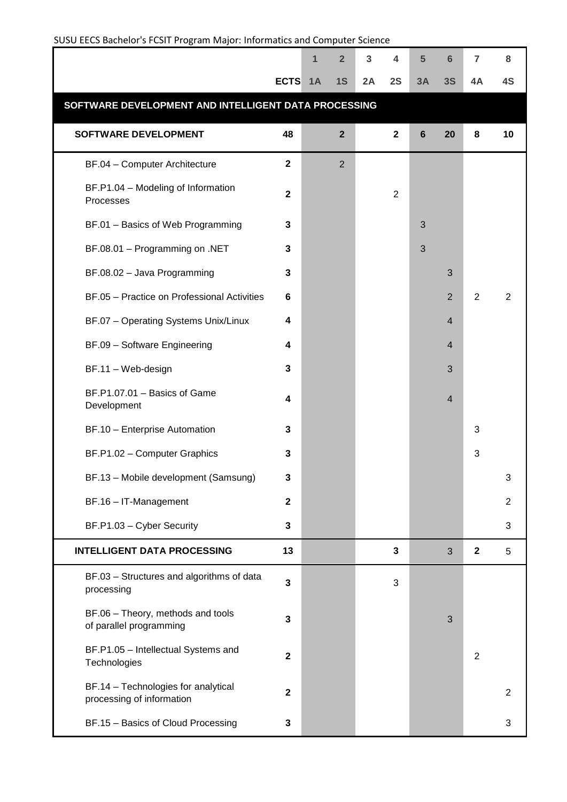| SUSU EECS Bachelor's FCSIT Program Major: Informatics and Computer Science |                         |             |                |    |                |    |                |                |                |  |
|----------------------------------------------------------------------------|-------------------------|-------------|----------------|----|----------------|----|----------------|----------------|----------------|--|
|                                                                            |                         | $\mathbf 1$ | $\overline{2}$ | 3  | 4              | 5  | $6\phantom{1}$ | $\overline{7}$ | 8              |  |
|                                                                            | <b>ECTS</b>             | 1A          | 1S             | 2A | 2S             | 3A | 3S             | 4A             | 4S             |  |
| SOFTWARE DEVELOPMENT AND INTELLIGENT DATA PROCESSING                       |                         |             |                |    |                |    |                |                |                |  |
| <b>SOFTWARE DEVELOPMENT</b>                                                | 48                      |             | $\overline{2}$ |    | $\mathbf{2}$   | 6  | 20             | 8              | 10             |  |
| BF.04 - Computer Architecture                                              | $\mathbf{2}$            |             | $\overline{2}$ |    |                |    |                |                |                |  |
| BF.P1.04 - Modeling of Information<br>Processes                            | $\overline{\mathbf{2}}$ |             |                |    | $\overline{2}$ |    |                |                |                |  |
| BF.01 - Basics of Web Programming                                          | $\mathbf{3}$            |             |                |    |                | 3  |                |                |                |  |
| BF.08.01 - Programming on .NET                                             | 3                       |             |                |    |                | 3  |                |                |                |  |
| BF.08.02 - Java Programming                                                | $\mathbf{3}$            |             |                |    |                |    | 3              |                |                |  |
| BF.05 - Practice on Professional Activities                                | $\bf 6$                 |             |                |    |                |    | $\overline{2}$ | $\overline{2}$ | $\overline{2}$ |  |
| BF.07 - Operating Systems Unix/Linux                                       | 4                       |             |                |    |                |    | $\overline{4}$ |                |                |  |
| BF.09 - Software Engineering                                               | 4                       |             |                |    |                |    | $\overline{4}$ |                |                |  |
| BF.11 - Web-design                                                         | $\mathbf{3}$            |             |                |    |                |    | 3              |                |                |  |
| BF.P1.07.01 - Basics of Game<br>Development                                | $\overline{\mathbf{4}}$ |             |                |    |                |    | $\overline{4}$ |                |                |  |
| BF.10 - Enterprise Automation                                              | $\mathbf{3}$            |             |                |    |                |    |                | 3              |                |  |
| BF.P1.02 - Computer Graphics                                               | 3                       |             |                |    |                |    |                | 3              |                |  |
| BF.13 - Mobile development (Samsung)                                       | 3                       |             |                |    |                |    |                |                | 3              |  |
| BF.16 - IT-Management                                                      | $\overline{\mathbf{2}}$ |             |                |    |                |    |                |                | $\overline{2}$ |  |
| BF.P1.03 - Cyber Security                                                  | $\mathbf{3}$            |             |                |    |                |    |                |                | 3              |  |
| <b>INTELLIGENT DATA PROCESSING</b>                                         | 13                      |             |                |    | $\mathbf{3}$   |    | 3              | $\mathbf{2}$   | 5              |  |
| BF.03 - Structures and algorithms of data<br>processing                    | $\mathbf{3}$            |             |                |    | $\mathbf{3}$   |    |                |                |                |  |
| BF.06 - Theory, methods and tools<br>of parallel programming               | $\mathbf{3}$            |             |                |    |                |    | 3              |                |                |  |
| BF.P1.05 - Intellectual Systems and<br>Technologies                        | $\overline{\mathbf{2}}$ |             |                |    |                |    |                | $\overline{2}$ |                |  |
| BF.14 - Technologies for analytical<br>processing of information           | $\mathbf 2$             |             |                |    |                |    |                |                | $\overline{2}$ |  |
| BF.15 - Basics of Cloud Processing                                         | $\mathbf{3}$            |             |                |    |                |    |                |                | 3              |  |

#### SUSU EECS Bachelor's FCSIT Program Major: Informatics and Computer Science